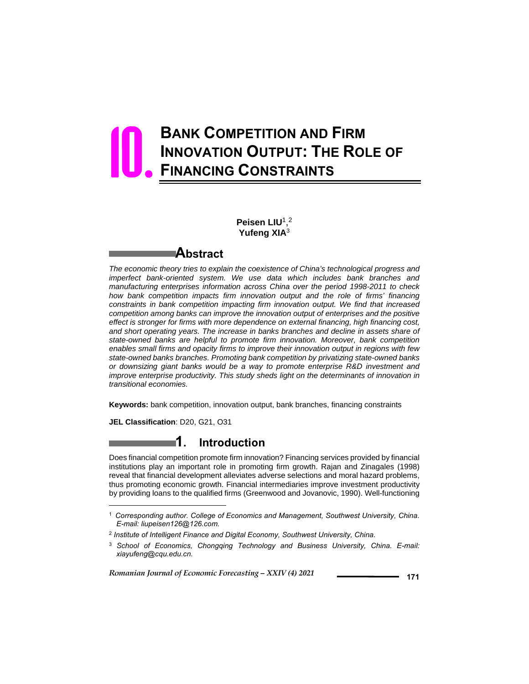# **BANK COMPETITION AND FIRM INNOVATION OUTPUT: THE ROLE OF FINANCING CONSTRAINTS** 10.

**Peisen LIU**1, 2 **Yufeng XIA**<sup>3</sup>

### **Abstract**

*The economic theory tries to explain the coexistence of China's technological progress and imperfect bank-oriented system. We use data which includes bank branches and manufacturing enterprises information across China over the period 1998-2011 to check how bank competition impacts firm innovation output and the role of firms' financing constraints in bank competition impacting firm innovation output. We find that increased competition among banks can improve the innovation output of enterprises and the positive effect is stronger for firms with more dependence on external financing, high financing cost, and short operating years. The increase in banks branches and decline in assets share of state-owned banks are helpful to promote firm innovation. Moreover, bank competition enables small firms and opacity firms to improve their innovation output in regions with few state-owned banks branches. Promoting bank competition by privatizing state-owned banks or downsizing giant banks would be a way to promote enterprise R&D investment and improve enterprise productivity. This study sheds light on the determinants of innovation in transitional economies.* 

**Keywords:** bank competition, innovation output, bank branches, financing constraints

**JEL Classification**: D20, G21, O31

l

## **1. Introduction**

Does financial competition promote firm innovation? Financing services provided by financial institutions play an important role in promoting firm growth. Rajan and Zinagales (1998) reveal that financial development alleviates adverse selections and moral hazard problems, thus promoting economic growth. Financial intermediaries improve investment productivity by providing loans to the qualified firms (Greenwood and Jovanovic, 1990). Well-functioning

<sup>1</sup> *Corresponding author. College of Economics and Management, Southwest University, China. E-mail: liupeisen126@126.com.*

<sup>2</sup> *Institute of Intelligent Finance and Digital Economy, Southwest University, China.*

<sup>3</sup> *School of Economics, Chongqing Technology and Business University, China. E-mail: xiayufeng@cqu.edu.cn.*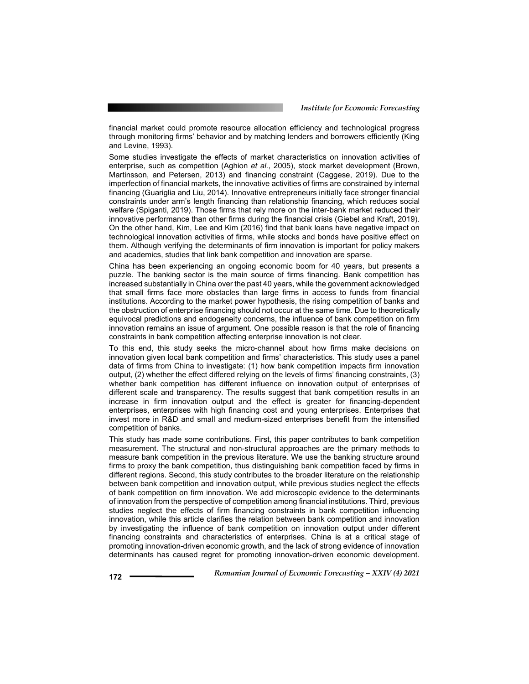financial market could promote resource allocation efficiency and technological progress through monitoring firms' behavior and by matching lenders and borrowers efficiently (King and Levine, 1993).

Some studies investigate the effects of market characteristics on innovation activities of enterprise, such as competition (Aghion *et al.*, 2005), stock market development (Brown, Martinsson, and Petersen, 2013) and financing constraint (Caggese, 2019). Due to the imperfection of financial markets, the innovative activities of firms are constrained by internal financing (Guariglia and Liu, 2014). Innovative entrepreneurs initially face stronger financial constraints under arm's length financing than relationship financing, which reduces social welfare (Spiganti, 2019). Those firms that rely more on the inter-bank market reduced their innovative performance than other firms during the financial crisis (Giebel and Kraft, 2019). On the other hand, Kim, Lee and Kim (2016) find that bank loans have negative impact on technological innovation activities of firms, while stocks and bonds have positive effect on them. Although verifying the determinants of firm innovation is important for policy makers and academics, studies that link bank competition and innovation are sparse.

China has been experiencing an ongoing economic boom for 40 years, but presents a puzzle. The banking sector is the main source of firms financing. Bank competition has increased substantially in China over the past 40 years, while the government acknowledged that small firms face more obstacles than large firms in access to funds from financial institutions. According to the market power hypothesis, the rising competition of banks and the obstruction of enterprise financing should not occur at the same time. Due to theoretically equivocal predictions and endogeneity concerns, the influence of bank competition on firm innovation remains an issue of argument. One possible reason is that the role of financing constraints in bank competition affecting enterprise innovation is not clear.

To this end, this study seeks the micro-channel about how firms make decisions on innovation given local bank competition and firms' characteristics. This study uses a panel data of firms from China to investigate: (1) how bank competition impacts firm innovation output, (2) whether the effect differed relying on the levels of firms' financing constraints, (3) whether bank competition has different influence on innovation output of enterprises of different scale and transparency. The results suggest that bank competition results in an increase in firm innovation output and the effect is greater for financing-dependent enterprises, enterprises with high financing cost and young enterprises. Enterprises that invest more in R&D and small and medium-sized enterprises benefit from the intensified competition of banks.

This study has made some contributions. First, this paper contributes to bank competition measurement. The structural and non-structural approaches are the primary methods to measure bank competition in the previous literature. We use the banking structure around firms to proxy the bank competition, thus distinguishing bank competition faced by firms in different regions. Second, this study contributes to the broader literature on the relationship between bank competition and innovation output, while previous studies neglect the effects of bank competition on firm innovation. We add microscopic evidence to the determinants of innovation from the perspective of competition among financial institutions. Third, previous studies neglect the effects of firm financing constraints in bank competition influencing innovation, while this article clarifies the relation between bank competition and innovation by investigating the influence of bank competition on innovation output under different financing constraints and characteristics of enterprises. China is at a critical stage of promoting innovation-driven economic growth, and the lack of strong evidence of innovation determinants has caused regret for promoting innovation-driven economic development.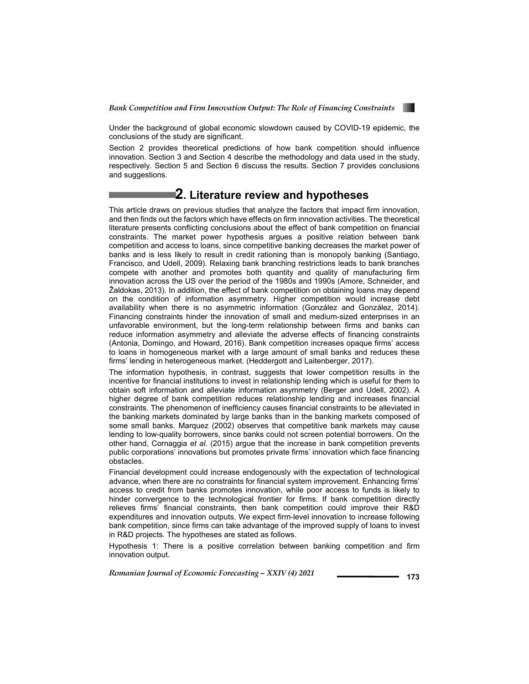

Under the background of global economic slowdown caused by COVID-19 epidemic, the conclusions of the study are significant.

Section 2 provides theoretical predictions of how bank competition should influence innovation. Section 3 and Section 4 describe the methodology and data used in the study, respectively. Section 5 and Section 6 discuss the results. Section 7 provides conclusions and suggestions.

## **2. Literature review and hypotheses**

This article draws on previous studies that analyze the factors that impact firm innovation, and then finds out the factors which have effects on firm innovation activities. The theoretical literature presents conflicting conclusions about the effect of bank competition on financial constraints. The market power hypothesis argues a positive relation between bank competition and access to loans, since competitive banking decreases the market power of banks and is less likely to result in credit rationing than is monopoly banking (Santiago, Francisco, and Udell, 2009). Relaxing bank branching restrictions leads to bank branches compete with another and promotes both quantity and quality of manufacturing firm innovation across the US over the period of the 1980s and 1990s (Amore, Schneider, and Žaldokas, 2013). In addition, the effect of bank competition on obtaining loans may depend on the condition of information asymmetry. Higher competition would increase debt availability when there is no asymmetric information (González and González, 2014). Financing constraints hinder the innovation of small and medium-sized enterprises in an unfavorable environment, but the long-term relationship between firms and banks can reduce information asymmetry and alleviate the adverse effects of financing constraints (Antonia, Domingo, and Howard, 2016). Bank competition increases opaque firms' access to loans in homogeneous market with a large amount of small banks and reduces these firms' lending in heterogeneous market. (Heddergott and Laitenberger, 2017).

The information hypothesis, in contrast, suggests that lower competition results in the incentive for financial institutions to invest in relationship lending which is useful for them to obtain soft information and alleviate information asymmetry (Berger and Udell, 2002). A higher degree of bank competition reduces relationship lending and increases financial constraints. The phenomenon of inefficiency causes financial constraints to be alleviated in the banking markets dominated by large banks than in the banking markets composed of some small banks. Marquez (2002) observes that competitive bank markets may cause lending to low-quality borrowers, since banks could not screen potential borrowers. On the other hand, Cornaggia *et al.* (2015) argue that the increase in bank competition prevents public corporations' innovations but promotes private firms' innovation which face financing obstacles.

Financial development could increase endogenously with the expectation of technological advance, when there are no constraints for financial system improvement. Enhancing firms' access to credit from banks promotes innovation, while poor access to funds is likely to hinder convergence to the technological frontier for firms. If bank competition directly relieves firms' financial constraints, then bank competition could improve their R&D expenditures and innovation outputs. We expect firm-level innovation to increase following bank competition, since firms can take advantage of the improved supply of loans to invest in R&D projects. The hypotheses are stated as follows.

Hypothesis 1: There is a positive correlation between banking competition and firm innovation output.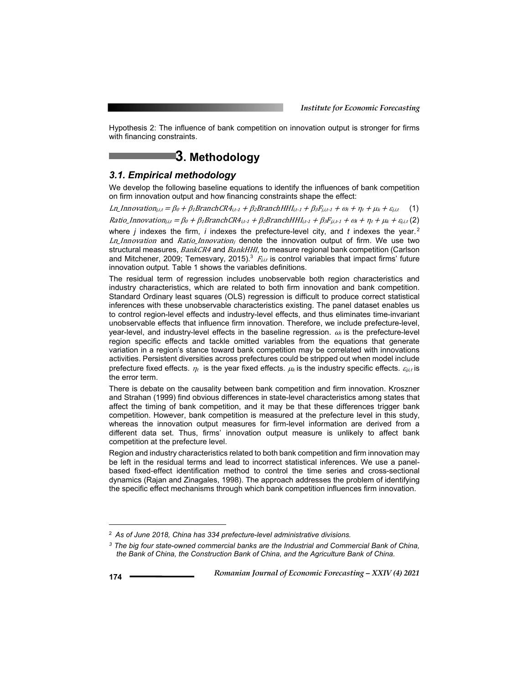Hypothesis 2: The influence of bank competition on innovation output is stronger for firms with financing constraints.

## **3. Methodology**

### *3.1. Empirical methodology*

We develop the following baseline equations to identify the influences of bank competition on firm innovation output and how financing constraints shape the effect:

Ln\_Innovation<sub>j,i,t</sub> =  $\beta_0 + \beta_1$ BranchCR4<sub>i,t</sub>-1 +  $\beta_2$ BranchHHI<sub>i,t-1</sub> +  $\beta_3F_{j,i,t-1} + \omega_i + \eta_t + \mu_k + \varepsilon_{j,i,t}$  (1) Ratio\_Innovation<sub>ji,t</sub> =  $\beta_0$  +  $\beta_1$ BranchCR4<sub>it<sup>-1</sup></sub> +  $\beta_2$ BranchHHI<sub>it<sup>-1</sup></sub> +  $\beta_3F_{j,i,t}$ <sub>1</sub> +  $\omega_i$  +  $\eta_i$  +  $\mu_k$  +  $\varepsilon_{j,i,t}$  (2) where *j* indexes the firm, *i* indexes the prefecture-level city, and *t* indexes the year.<sup>2</sup> Ln\_Innovation and Ratio\_Innovation<sub>i</sub> denote the innovation output of firm. We use two structural measures, BankCR4 and BankHHI, to measure regional bank competition (Carlson and Mitchener, 2009; Temesvary, 2015).<sup>3</sup>  $F_{i,i,t}$  is control variables that impact firms' future innovation output. Table 1 shows the variables definitions.

The residual term of regression includes unobservable both region characteristics and industry characteristics, which are related to both firm innovation and bank competition. Standard Ordinary least squares (OLS) regression is difficult to produce correct statistical inferences with these unobservable characteristics existing. The panel dataset enables us to control region-level effects and industry-level effects, and thus eliminates time-invariant unobservable effects that influence firm innovation. Therefore, we include prefecture-level, year-level, and industry-level effects in the baseline regression.  $\omega_i$  is the prefecture-level region specific effects and tackle omitted variables from the equations that generate variation in a region's stance toward bank competition may be correlated with innovations activities. Persistent diversities across prefectures could be stripped out when model include prefecture fixed effects.  $\eta_t$  is the year fixed effects.  $\mu_k$  is the industry specific effects.  $\varepsilon_{i,k}$  is the error term.

There is debate on the causality between bank competition and firm innovation. Kroszner and Strahan (1999) find obvious differences in state-level characteristics among states that affect the timing of bank competition, and it may be that these differences trigger bank competition. However, bank competition is measured at the prefecture level in this study, whereas the innovation output measures for firm-level information are derived from a different data set. Thus, firms' innovation output measure is unlikely to affect bank competition at the prefecture level.

Region and industry characteristics related to both bank competition and firm innovation may be left in the residual terms and lead to incorrect statistical inferences. We use a panelbased fixed-effect identification method to control the time series and cross-sectional dynamics (Rajan and Zinagales, 1998). The approach addresses the problem of identifying the specific effect mechanisms through which bank competition influences firm innovation.

l

<sup>2</sup> *As of June 2018, China has 334 prefecture-level administrative divisions.*

*<sup>3</sup> The big four state-owned commercial banks are the Industrial and Commercial Bank of China, the Bank of China, the Construction Bank of China, and the Agriculture Bank of China.*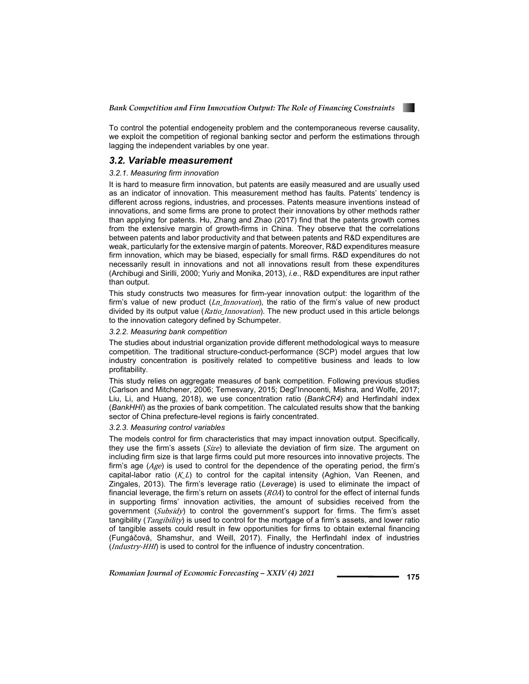

To control the potential endogeneity problem and the contemporaneous reverse causality, we exploit the competition of regional banking sector and perform the estimations through lagging the independent variables by one year.

### *3.2. Variable measurement*

#### *3.2.1. Measuring firm innovation*

It is hard to measure firm innovation, but patents are easily measured and are usually used as an indicator of innovation. This measurement method has faults. Patents' tendency is different across regions, industries, and processes. Patents measure inventions instead of innovations, and some firms are prone to protect their innovations by other methods rather than applying for patents. Hu, Zhang and Zhao (2017) find that the patents growth comes from the extensive margin of growth-firms in China. They observe that the correlations between patents and labor productivity and that between patents and R&D expenditures are weak, particularly for the extensive margin of patents. Moreover, R&D expenditures measure firm innovation, which may be biased, especially for small firms. R&D expenditures do not necessarily result in innovations and not all innovations result from these expenditures (Archibugi and Sirilli, 2000; Yuriy and Monika, 2013), *i.e.*, R&D expenditures are input rather than output.

This study constructs two measures for firm-year innovation output: the logarithm of the firm's value of new product  $(Ln_1Inovation)$ , the ratio of the firm's value of new product divided by its output value (Ratio\_Innovation). The new product used in this article belongs to the innovation category defined by Schumpeter.

#### *3.2.2. Measuring bank competition*

The studies about industrial organization provide different methodological ways to measure competition. The traditional structure-conduct-performance (SCP) model argues that low industry concentration is positively related to competitive business and leads to low profitability.

This study relies on aggregate measures of bank competition. Following previous studies (Carlson and Mitchener, 2006; Temesvary, 2015; Degl'Innocenti, Mishra, and Wolfe, 2017; Liu, Li, and Huang, 2018), we use concentration ratio (*BankCR4*) and Herfindahl index (*BankHHI*) as the proxies of bank competition. The calculated results show that the banking sector of China prefecture-level regions is fairly concentrated.

#### *3.2.3. Measuring control variables*

The models control for firm characteristics that may impact innovation output. Specifically, they use the firm's assets  $(Size)$  to alleviate the deviation of firm size. The argument on including firm size is that large firms could put more resources into innovative projects. The firm's age  $(Age)$  is used to control for the dependence of the operating period, the firm's capital-labor ratio  $(K_L L)$  to control for the capital intensity (Aghion, Van Reenen, and Zingales, 2013). The firm's leverage ratio (*Leverag*e) is used to eliminate the impact of financial leverage, the firm's return on assets  $(ROA)$  to control for the effect of internal funds in supporting firms' innovation activities, the amount of subsidies received from the government  $(Subsidy)$  to control the government's support for firms. The firm's asset tangibility (*Tangibility*) is used to control for the mortgage of a firm's assets, and lower ratio of tangible assets could result in few opportunities for firms to obtain external financing (Fungáčová, Shamshur, and Weill, 2017). Finally, the Herfindahl index of industries (Industry-HHI) is used to control for the influence of industry concentration.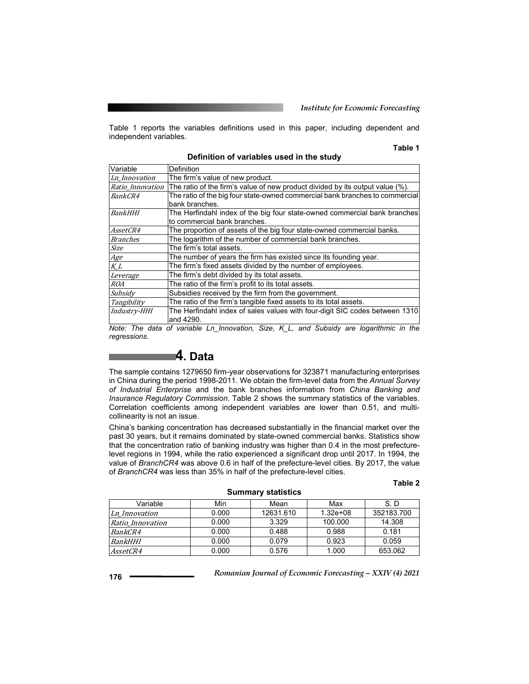Table 1 reports the variables definitions used in this paper, including dependent and independent variables.

#### **Table 1**

| Variable        | <b>Definition</b>                                                                                |
|-----------------|--------------------------------------------------------------------------------------------------|
| Ln Innovation   | The firm's value of new product.                                                                 |
|                 | Ratio_Innovation   The ratio of the firm's value of new product divided by its output value (%). |
| <i>BankCR4</i>  | The ratio of the big four state-owned commercial bank branches to commercial                     |
|                 | bank branches.                                                                                   |
| <b>BankHHI</b>  | The Herfindahl index of the big four state-owned commercial bank branches                        |
|                 | to commercial bank branches.                                                                     |
| <i>AssetCR4</i> | The proportion of assets of the big four state-owned commercial banks.                           |
| <i>Branches</i> | The logarithm of the number of commercial bank branches.                                         |
| <b>Size</b>     | The firm's total assets.                                                                         |
| Age             | The number of years the firm has existed since its founding year.                                |
| KL              | The firm's fixed assets divided by the number of employees.                                      |
| Leverage        | The firm's debt divided by its total assets.                                                     |
| <b>ROA</b>      | The ratio of the firm's profit to its total assets.                                              |
| Subsidy         | Subsidies received by the firm from the government.                                              |
| Tangibility     | The ratio of the firm's tangible fixed assets to its total assets.                               |
| Industry-HHI    | The Herfindahl index of sales values with four-digit SIC codes between 1310                      |
|                 | and 4290.                                                                                        |

**Definition of variables used in the study** 

*Note: The data of variable Ln\_Innovation, Size, K\_L, and Subsidy are logarithmic in the regressions.* 

## **4. Data**

The sample contains 1279650 firm-year observations for 323871 manufacturing enterprises in China during the period 1998-2011. We obtain the firm-level data from the *Annual Survey of Industrial Enterprise* and the bank branches information from *China Banking and Insurance Regulatory Commission*. Table 2 shows the summary statistics of the variables. Correlation coefficients among independent variables are lower than 0.51, and multicollinearity is not an issue.

China's banking concentration has decreased substantially in the financial market over the past 30 years, but it remains dominated by state-owned commercial banks. Statistics show that the concentration ratio of banking industry was higher than 0.4 in the most prefecturelevel regions in 1994, while the ratio experienced a significant drop until 2017. In 1994, the value of *BranchCR4* was above 0.6 in half of the prefecture-level cities. By 2017, the value of *BranchCR4* was less than 35% in half of the prefecture-level cities.

#### **Table 2**

| <b>DAMMAL A</b> STANSHOP |       |           |              |            |  |  |  |  |  |
|--------------------------|-------|-----------|--------------|------------|--|--|--|--|--|
| Variable                 | Min   | Mean      | Max          | S.D        |  |  |  |  |  |
| Ln Innovation            | 0.000 | 12631.610 | $1.32e + 08$ | 352183.700 |  |  |  |  |  |
| Ratio Innovation         | 0.000 | 3.329     | 100.000      | 14.308     |  |  |  |  |  |
| <i>BankCR4</i>           | 0.000 | 0.488     | 0.988        | 0.181      |  |  |  |  |  |
| <b>BankHHI</b>           | 0.000 | 0.079     | 0.923        | 0.059      |  |  |  |  |  |
| <i>AssetCR4</i>          | 0.000 | 0.576     | 1.000        | 653.062    |  |  |  |  |  |

**Summary statistics**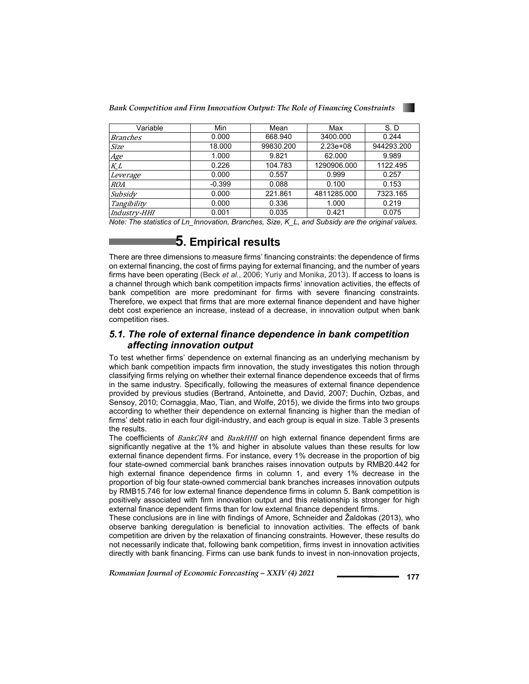*Bank Competition and Firm Innovation Output: The Role of Financing Constraints* 

| Variable            | Min      | Mean      | Max         | S.D        |
|---------------------|----------|-----------|-------------|------------|
| Branches            | 0.000    | 668.940   | 3400.000    | 0.244      |
| Size                | 18,000   | 99830.200 | $2.23e+08$  | 944293.200 |
| Age                 | 1.000    | 9.821     | 62.000      | 9.989      |
| K_L                 | 0.226    | 104.783   | 1290906.000 | 1122.495   |
| Leverage            | 0.000    | 0.557     | 0.999       | 0.257      |
| <i>ROA</i>          | $-0.399$ | 0.088     | 0.100       | 0.153      |
| Subsidy             | 0.000    | 221.861   | 4811285.000 | 7323.165   |
| Tangibility         | 0.000    | 0.336     | 1.000       | 0.219      |
| <i>Industry-HHI</i> | 0.001    | 0.035     | 0.421       | 0.075      |

*Note: The statistics of Ln\_Innovation, Branches, Size, K\_L, and Subsidy are the original values.* 

## **5. Empirical results**

There are three dimensions to measure firms' financing constraints: the dependence of firms on external financing, the cost of firms paying for external financing, and the number of years firms have been operating (Beck *et al.*, 2006; Yuriy and Monika, 2013). If access to loans is a channel through which bank competition impacts firms' innovation activities, the effects of bank competition are more predominant for firms with severe financing constraints. Therefore, we expect that firms that are more external finance dependent and have higher debt cost experience an increase, instead of a decrease, in innovation output when bank competition rises.

### *5.1. The role of external finance dependence in bank competition affecting innovation output*

To test whether firms' dependence on external financing as an underlying mechanism by which bank competition impacts firm innovation, the study investigates this notion through classifying firms relying on whether their external finance dependence exceeds that of firms in the same industry. Specifically, following the measures of external finance dependence provided by previous studies (Bertrand, Antoinette, and David, 2007; Duchin, Ozbas, and Sensoy, 2010; Cornaggia, Mao, Tian, and Wolfe, 2015), we divide the firms into two groups according to whether their dependence on external financing is higher than the median of firms' debt ratio in each four digit-industry, and each group is equal in size. Table 3 presents the results.

The coefficients of BankCR4 and BankHHI on high external finance dependent firms are significantly negative at the 1% and higher in absolute values than these results for low external finance dependent firms. For instance, every 1% decrease in the proportion of big four state-owned commercial bank branches raises innovation outputs by RMB20.442 for high external finance dependence firms in column 1, and every 1% decrease in the proportion of big four state-owned commercial bank branches increases innovation outputs by RMB15.746 for low external finance dependence firms in column 5. Bank competition is positively associated with firm innovation output and this relationship is stronger for high external finance dependent firms than for low external finance dependent firms.

These conclusions are in line with findings of Amore, Schneider and Žaldokas (2013), who observe banking deregulation is beneficial to innovation activities. The effects of bank competition are driven by the relaxation of financing constraints. However, these results do not necessarily indicate that, following bank competition, firms invest in innovation activities directly with bank financing. Firms can use bank funds to invest in non-innovation projects,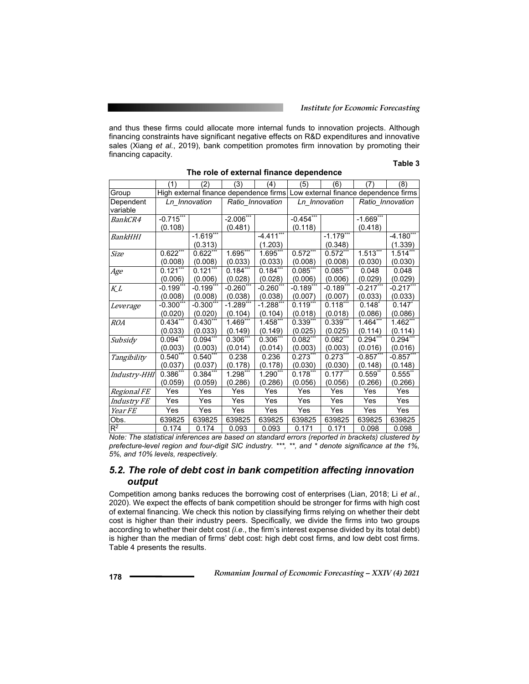and thus these firms could allocate more internal funds to innovation projects. Although financing constraints have significant negative effects on R&D expenditures and innovative sales (Xiang *et al.*, 2019), bank competition promotes firm innovation by promoting their financing capacity.

#### **Table 3**

| unuu uupunuur  |                         |                                                                              |              |                  |             |               |             |                  |
|----------------|-------------------------|------------------------------------------------------------------------------|--------------|------------------|-------------|---------------|-------------|------------------|
|                | (1)                     | (2)                                                                          | (3)          | (4)              | (5)         | (6)           | (7)         | (8)              |
| Group          |                         | High external finance dependence firms Low external finance dependence firms |              |                  |             |               |             |                  |
| Dependent      |                         | Ln Innovation                                                                |              | Ratio_Innovation |             | Ln Innovation |             | Ratio_Innovation |
| variable       |                         |                                                                              |              |                  |             |               |             |                  |
| <i>BankCR4</i> | $-0.7\overline{15}$ *** |                                                                              | $-2.006"$    |                  | $-0.454$ ** |               | $-1.669$ ** |                  |
|                | (0.108)                 |                                                                              | (0.481)      |                  | (0.118)     |               | (0.418)     |                  |
| BankHHI        |                         | $-1.619***$                                                                  |              | $-4.411***$      |             | $-1.179***$   |             | $-4.180***$      |
|                |                         | (0.313)                                                                      |              | (1.203)          |             | (0.348)       |             | (1.339)          |
| <i>Size</i>    | $0.622***$              | $0.622***$                                                                   | 1.695***     | $1.695***$       | $0.572***$  | $0.572***$    | $1.513***$  | 1.514            |
|                | (0.008)                 | (0.008)                                                                      | (0.033)      | (0.033)          | (0.008)     | (0.008)       | (0.030)     | (0.030)          |
| Age            | $0.121***$              | $0.121***$                                                                   | $0.184***$   | $0.184$ ***      | 0.085       | $0.085$ ***   | 0.048       | 0.048            |
|                | (0.006)                 | (0.006)                                                                      | (0.028)      | (0.028)          | (0.006)     | (0.006)       | (0.029)     | (0.029)          |
| KL             | $-0.199***$             | $-0.199***$                                                                  | $-0.260$ *** | $-0.260***$      | $-0.189$ ** | $-0.189***$   | $-0.217***$ | $-0.217$ ***     |
|                | (0.008)                 | (0.008)                                                                      | (0.038)      | (0.038)          | (0.007)     | (0.007)       | (0.033)     | (0.033)          |
| Leverage       | $-0.300***$             | $-0.300***$                                                                  | $-1.289**$   | $-1.288$ **      | $0.119***$  | $0.118***$    | $0.148*$    | $0.147*$         |
|                | (0.020)                 | (0.020)                                                                      | (0.104)      | (0.104)          | (0.018)     | (0.018)       | (0.086)     | (0.086)          |
| <b>ROA</b>     | $0.434***$              | $0.430***$                                                                   | $1.469***$   | $1.458***$       | $0.339***$  | $0.339***$    | $1.464$ *** | $1.462$ ***      |
|                | (0.033)                 | (0.033)                                                                      | (0.149)      | (0.149)          | (0.025)     | (0.025)       | (0.114)     | (0.114)          |
| Subsidy        | $0.094$ **              | $0.094$ **                                                                   | $0.306$ **'  | $0.306***$       | $0.082***$  | $0.082***$    | $0.294$ *** | $0.294$ ***      |
|                | (0.003)                 | (0.003)                                                                      | (0.014)      | (0.014)          | (0.003)     | (0.003)       | (0.016)     | (0.016)          |
| Tangibility    | $0.540$ ***             | $0.540***$                                                                   | 0.238        | 0.236            | $0.273$ **  | $0.273***$    | $-0.857$ ** | $-0.857$ **      |
|                | (0.037)                 | (0.037)                                                                      | (0.178)      | (0.178)          | (0.030)     | (0.030)       | (0.148)     | (0.148)          |
| Industry-HHI   | $0.386***$              | $0.384***$                                                                   | 1.298***     | 1.290***         | $0.178***$  | $0.177***$    | $0.559**$   | $0.555$ **       |
|                | (0.059)                 | (0.059)                                                                      | (0.286)      | (0.286)          | (0.056)     | (0.056)       | (0.266)     | (0.266)          |
| Regional FE    | Yes                     | Yes                                                                          | Yes          | Yes              | Yes         | Yes           | Yes         | Yes              |
| Industry FE    | Yes                     | Yes                                                                          | Yes          | Yes              | Yes         | Yes           | Yes         | Yes              |
| Year FE        | Yes                     | Yes                                                                          | Yes          | Yes              | Yes         | Yes           | Yes         | Yes              |
| Obs.           | 639825                  | 639825                                                                       | 639825       | 639825           | 639825      | 639825        | 639825      | 639825           |
| $R^2$          | 0.174                   | 0.174                                                                        | 0.093        | 0.093            | 0.171       | 0.171         | 0.098       | 0.098            |

**The role of external finance dependence** 

*Note: The statistical inferences are based on standard errors (reported in brackets) clustered by prefecture-level region and four-digit SIC industry. \*\*\*, \*\*, and \* denote significance at the 1%, 5%, and 10% levels, respectively.* 

### *5.2. The role of debt cost in bank competition affecting innovation output*

Competition among banks reduces the borrowing cost of enterprises (Lian, 2018; Li *et al.*, 2020). We expect the effects of bank competition should be stronger for firms with high cost of external financing. We check this notion by classifying firms relying on whether their debt cost is higher than their industry peers. Specifically, we divide the firms into two groups according to whether their debt cost *(i.e*., the firm's interest expense divided by its total debt) is higher than the median of firms' debt cost: high debt cost firms, and low debt cost firms. Table 4 presents the results.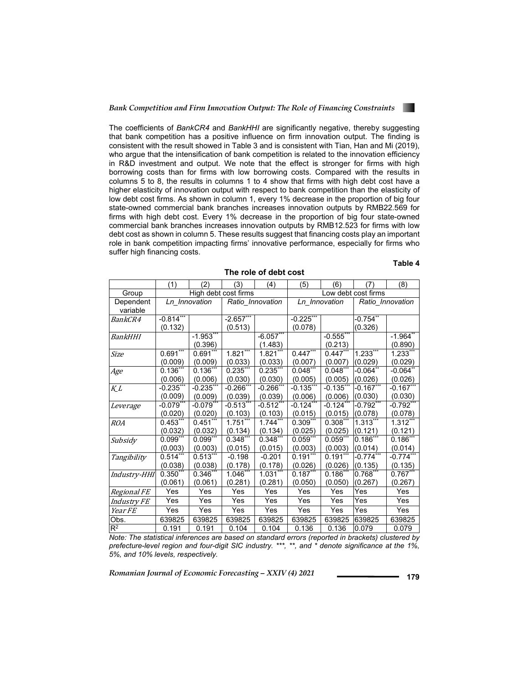

The coefficients of *BankCR4* and *BankHHI* are significantly negative, thereby suggesting that bank competition has a positive influence on firm innovation output. The finding is consistent with the result showed in Table 3 and is consistent with Tian, Han and Mi (2019), who argue that the intensification of bank competition is related to the innovation efficiency in R&D investment and output. We note that the effect is stronger for firms with high borrowing costs than for firms with low borrowing costs. Compared with the results in columns 5 to 8, the results in columns 1 to 4 show that firms with high debt cost have a higher elasticity of innovation output with respect to bank competition than the elasticity of low debt cost firms. As shown in column 1, every 1% decrease in the proportion of big four state-owned commercial bank branches increases innovation outputs by RMB22.569 for firms with high debt cost. Every 1% decrease in the proportion of big four state-owned commercial bank branches increases innovation outputs by RMB12.523 for firms with low debt cost as shown in column 5. These results suggest that financing costs play an important role in bank competition impacting firms' innovative performance, especially for firms who suffer high financing costs.

**The role of debt cost** 

#### **Table 4**

|                       | (1)                    | (2)                    | (3)                     | (4)                    | (5)                    | (6)                   | (7)                    | (8)                               |  |
|-----------------------|------------------------|------------------------|-------------------------|------------------------|------------------------|-----------------------|------------------------|-----------------------------------|--|
| Group                 |                        | High debt cost firms   |                         |                        | Low debt cost firms    |                       |                        |                                   |  |
| Dependent<br>variable |                        | Ln Innovation          |                         | Ratio Innovation       |                        | Ln Innovation         |                        | Ratio Innovation                  |  |
| <i>BankCR4</i>        | $-0.814***$<br>(0.132) |                        | -2.657**<br>(0.513)     |                        | $-0.225$ **<br>(0.078) |                       | -0.754**<br>(0.326)    |                                   |  |
| BankHHI               |                        | $-1.953***$<br>(0.396) |                         | $-6.057$<br>(1.483)    |                        | $-0.555$<br>(0.213)   |                        | $-1.964$ **<br>(0.890)            |  |
| Size                  | $0.691***$<br>(0.009)  | $0.691***$<br>(0.009)  | $1.821***$<br>(0.033)   | $1.821***$<br>(0.033)  | $0.447***$<br>(0.007)  | $0.447***$<br>(0.007) | $1.233***$<br>(0.029)  | $1.233***$<br>(0.029)             |  |
| Age                   | $0.136***$<br>(0.006)  | $0.136***$<br>(0.006)  | $0.235***$<br>(0.030)   | $0.235***$<br>(0.030)  | $0.048***$<br>(0.005)  | $0.048***$<br>(0.005) | $-0.064**$<br>(0.026)  | $-0.064$ <sup>**</sup><br>(0.026) |  |
| $K_L$                 | $-0.235"$<br>(0.009)   | $-0.235$<br>(0.009)    | $-0.266"$<br>(0.039)    | $-0.266"$<br>(0.039)   | $-0.135$ **<br>(0.006) | $-0.135"$<br>(0.006)  | $-0.167***$<br>(0.030) | $-0.167$ **<br>(0.030)            |  |
| Leverage              | $-0.079***$<br>(0.020) | $-0.079$ **<br>(0.020) | $-0.513$ ***<br>(0.103) | $-0.512***$<br>(0.103) | $-0.124***$<br>(0.015) | -0.124**<br>(0.015)   | $0.792***$<br>(0.078)  | $-0.792***$<br>(0.078)            |  |
| <b>ROA</b>            | $0.453***$<br>(0.032)  | $0.451***$<br>(0.032)  | $1.751***$<br>(0.134)   | $1.744***$<br>(0.134)  | $0.309***$<br>(0.025)  | $0.308***$<br>(0.025) | 1.313<br>(0.121)       | $1.312***$<br>(0.121)             |  |
| Subsidy               | $0.099***$<br>(0.003)  | $0.099***$<br>(0.003)  | $0.348***$<br>(0.015)   | $0.348***$<br>(0.015)  | $0.059***$<br>(0.003)  | $0.059***$<br>(0.003) | $0.186***$<br>(0.014)  | $0.186***$<br>(0.014)             |  |
| Tangibility           | $0.514***$<br>(0.038)  | $0.513***$<br>(0.038)  | $-0.198$<br>(0.178)     | $-0.201$<br>(0.178)    | $0.191***$<br>(0.026)  | $0.191***$<br>(0.026) | $-0.774***$<br>(0.135) | $-0.774***$<br>(0.135)            |  |
| Industry-HHI          | 0.350"<br>(0.061)      | 0.346"<br>(0.061)      | $1.046$ **<br>(0.281)   | $1.031***$<br>(0.281)  | $0.187***$<br>(0.050)  | $0.186$ **<br>(0.050) | 0.768"<br>(0.267)      | $0.767$ **<br>(0.267)             |  |
| Regional FE           | Yes                    | Yes                    | Yes                     | Yes                    | Yes                    | Yes                   | Yes                    | Yes                               |  |
| <i>Industry FE</i>    | Yes                    | Yes                    | Yes                     | Yes                    | Yes                    | Yes                   | Yes                    | Yes                               |  |
| Year FE               | Yes                    | Yes                    | Yes                     | Yes                    | Yes                    | Yes                   | Yes                    | Yes                               |  |
| Obs.                  | 639825                 | 639825                 | 639825                  | 639825                 | 639825                 | 639825                | 639825                 | 639825                            |  |
| $R^2$                 | 0.191                  | 0.191                  | 0.104                   | 0.104                  | 0.136                  | 0.136                 | 0.079                  | 0.079                             |  |

*Note: The statistical inferences are based on standard errors (reported in brackets) clustered by prefecture-level region and four-digit SIC industry. \*\*\*, \*\*, and \* denote significance at the 1%, 5%, and 10% levels, respectively.*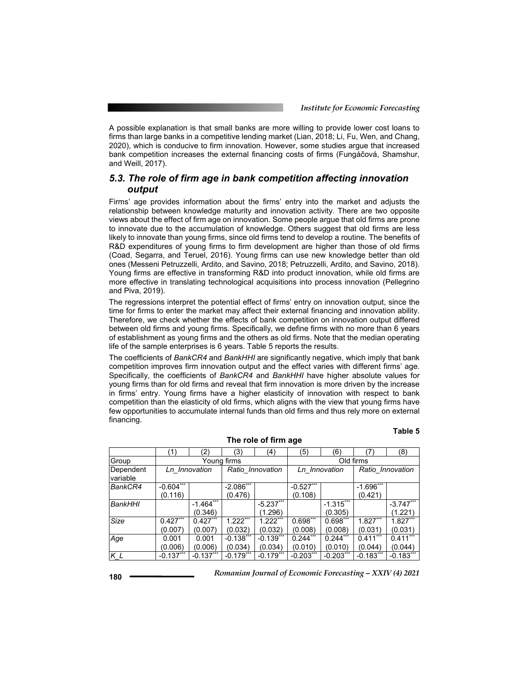A possible explanation is that small banks are more willing to provide lower cost loans to firms than large banks in a competitive lending market (Lian, 2018; Li, Fu, Wen, and Chang, 2020), which is conducive to firm innovation. However, some studies argue that increased bank competition increases the external financing costs of firms (Fungáčová, Shamshur, and Weill, 2017).

### *5.3. The role of firm age in bank competition affecting innovation output*

Firms' age provides information about the firms' entry into the market and adjusts the relationship between knowledge maturity and innovation activity. There are two opposite views about the effect of firm age on innovation. Some people argue that old firms are prone to innovate due to the accumulation of knowledge. Others suggest that old firms are less likely to innovate than young firms, since old firms tend to develop a routine. The benefits of R&D expenditures of young firms to firm development are higher than those of old firms (Coad, Segarra, and Teruel, 2016). Young firms can use new knowledge better than old ones (Messeni Petruzzelli, Ardito, and Savino, 2018; Petruzzelli, Ardito, and Savino, 2018). Young firms are effective in transforming R&D into product innovation, while old firms are more effective in translating technological acquisitions into process innovation (Pellegrino and Piva, 2019).

The regressions interpret the potential effect of firms' entry on innovation output, since the time for firms to enter the market may affect their external financing and innovation ability. Therefore, we check whether the effects of bank competition on innovation output differed between old firms and young firms. Specifically, we define firms with no more than 6 years of establishment as young firms and the others as old firms. Note that the median operating life of the sample enterprises is 6 years. Table 5 reports the results.

The coefficients of *BankCR4* and *BankHHI* are significantly negative, which imply that bank competition improves firm innovation output and the effect varies with different firms' age. Specifically, the coefficients of *BankCR4* and *BankHHI* have higher absolute values for young firms than for old firms and reveal that firm innovation is more driven by the increase in firms' entry. Young firms have a higher elasticity of innovation with respect to bank competition than the elasticity of old firms, which aligns with the view that young firms have few opportunities to accumulate internal funds than old firms and thus rely more on external financing.

**The role of firm age** 

#### **Table 5**

|                       | (1)           | (2)         | (3)              | (4)                    | (5)           | (6)         | $\mathcal{L}$    | (8)                      |
|-----------------------|---------------|-------------|------------------|------------------------|---------------|-------------|------------------|--------------------------|
| Group                 |               |             | Young firms      |                        | Old firms     |             |                  |                          |
| Dependent<br>variable | Ln Innovation |             | Ratio Innovation |                        | Ln Innovation |             | Ratio Innovation |                          |
| BankCR4               | $-0.604***$   |             | $-2.086***$      |                        | $-0.527***$   |             | $-1.696***$      |                          |
|                       | (0.116)       |             | (0.476)          |                        | (0.108)       |             | (0.421)          |                          |
| <b>BankHHI</b>        |               | $-1.464***$ |                  | $-5.237***$            |               | $-1.315***$ |                  | $-3.747***$              |
|                       |               | (0.346)     |                  | (1.296)                |               | (0.305)     |                  | (1.221)                  |
| Size                  | $0.427***$    | $0.427***$  | $1.222***$       | $1.222$ <sup>***</sup> | $0.698***$    | $0.698***$  | $1.827***$       | $1.827***$               |
|                       | (0.007)       | (0.007)     | (0.032)          | (0.032)                | (0.008)       | (0.008)     | (0.031)          | (0.031)                  |
| Age                   | 0.001         | 0.001       | $-0.138***$      | $-0.139***$            | $0.244***$    | $0.244***$  | $0.411***$       | $0.41\overline{1^{***}}$ |
|                       | (0.006)       | (0.006)     | (0.034)          | (0.034)                | (0.010)       | (0.010)     | (0.044)          | (0.044)                  |
| $K_L$                 | $-0.137***$   | $-0.137***$ | $-0.179$ **      | $-0.179***$            | $-0.203***$   | $-0.203***$ | $-0.183***$      | $-0.183***$              |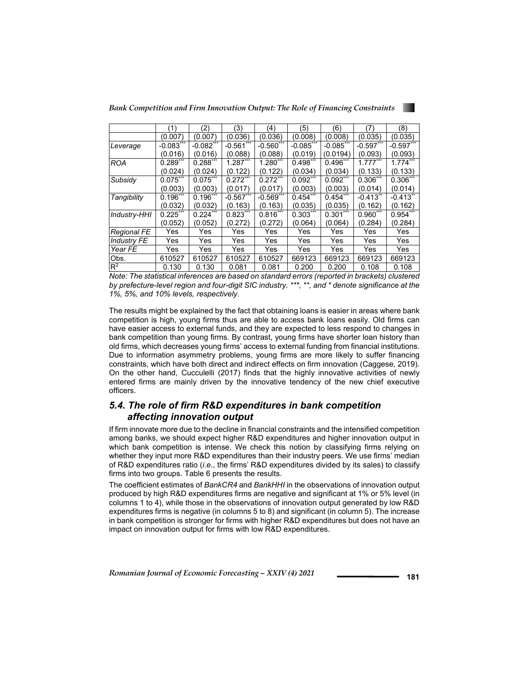*Bank Competition and Firm Innovation Output: The Role of Financing Constraints* 



|                    | (1)         | (2)         | (3)          | (4)         | (5)          | (6)         | (7)                    | (8)         |
|--------------------|-------------|-------------|--------------|-------------|--------------|-------------|------------------------|-------------|
|                    | (0.007)     | (0.007)     | (0.036)      | (0.036)     | (0.008)      | (0.008)     | (0.035)                | (0.035)     |
| Leverage           | $-0.083***$ | $-0.082***$ | $-0.561$ *** | $-0.560***$ | $-0.085$ *** | $-0.085***$ | $-0.597***$            | $-0.597***$ |
|                    | (0.016)     | (0.016)     | (0.088)      | (0.088)     | (0.019)      | (0.0194)    | (0.093)                | (0.093)     |
| <b>ROA</b>         | $0.289***$  | $0.288**$   | $1.287***$   | 1.280***    | $0.498***$   | $0.496***$  | $1.777***$             | $1.774***$  |
|                    | (0.024)     | (0.024)     | (0.122)      | (0.122)     | (0.034)      | (0.034)     | (0.133)                | (0.133)     |
| Subsidy            | $0.075***$  | $0.075***$  | $0.272***$   | $0.272***$  | $0.092***$   | $0.092***$  | $0.306***$             | $0.306***$  |
|                    | (0.003)     | (0.003)     | (0.017)      | (0.017)     | (0.003)      | (0.003)     | (0.014)                | (0.014)     |
| Tangibility        | $0.196***$  | $0.196***$  | $-0.567***$  | $-0.569***$ | $0.454***$   | $0.454***$  | $-0.413$ <sup>**</sup> | $-0.413**$  |
|                    | (0.032)     | (0.032)     | (0.163)      | (0.163)     | (0.035)      | (0.035)     | (0.162)                | (0.162)     |
| Industry-HHI       | $0.225$ **  | $0.224$ **  | $0.823***$   | $0.816***$  | $0.303***$   | $0.301***$  | $0.960***$             | $0.954***$  |
|                    | (0.052)     | (0.052)     | (0.272)      | (0.272)     | (0.064)      | (0.064)     | (0.284)                | (0.284)     |
| Regional FE        | Yes         | Yes         | Yes          | Yes         | Yes          | Yes         | Yes                    | Yes         |
| <b>Industry FE</b> | Yes         | Yes         | Yes          | Yes         | Yes          | Yes         | Yes                    | Yes         |
| Year FE            | Yes         | Yes         | Yes          | Yes         | Yes          | Yes         | Yes                    | Yes         |
| Obs.               | 610527      | 610527      | 610527       | 610527      | 669123       | 669123      | 669123                 | 669123      |
| $R^2$              | 0.130       | 0.130       | 0.081        | 0.081       | 0.200        | 0.200       | 0.108                  | 0.108       |

*Note: The statistical inferences are based on standard errors (reported in brackets) clustered by prefecture-level region and four-digit SIC industry. \*\*\*, \*\*, and \* denote significance at the 1%, 5%, and 10% levels, respectively.*

The results might be explained by the fact that obtaining loans is easier in areas where bank competition is high, young firms thus are able to access bank loans easily. Old firms can have easier access to external funds, and they are expected to less respond to changes in bank competition than young firms. By contrast, young firms have shorter loan history than old firms, which decreases young firms' access to external funding from financial institutions. Due to information asymmetry problems, young firms are more likely to suffer financing constraints, which have both direct and indirect effects on firm innovation (Caggese, 2019). On the other hand, Cucculelli (2017) finds that the highly innovative activities of newly entered firms are mainly driven by the innovative tendency of the new chief executive officers.

### *5.4. The role of firm R&D expenditures in bank competition affecting innovation output*

If firm innovate more due to the decline in financial constraints and the intensified competition among banks, we should expect higher R&D expenditures and higher innovation output in which bank competition is intense. We check this notion by classifying firms relying on whether they input more R&D expenditures than their industry peers. We use firms' median of R&D expenditures ratio (*i.e*., the firms' R&D expenditures divided by its sales) to classify firms into two groups. Table 6 presents the results.

The coefficient estimates of *BankCR4* and *BankHHI* in the observations of innovation output produced by high R&D expenditures firms are negative and significant at 1% or 5% level (in columns 1 to 4), while those in the observations of innovation output generated by low R&D expenditures firms is negative (in columns 5 to 8) and significant (in column 5). The increase in bank competition is stronger for firms with higher R&D expenditures but does not have an impact on innovation output for firms with low R&D expenditures.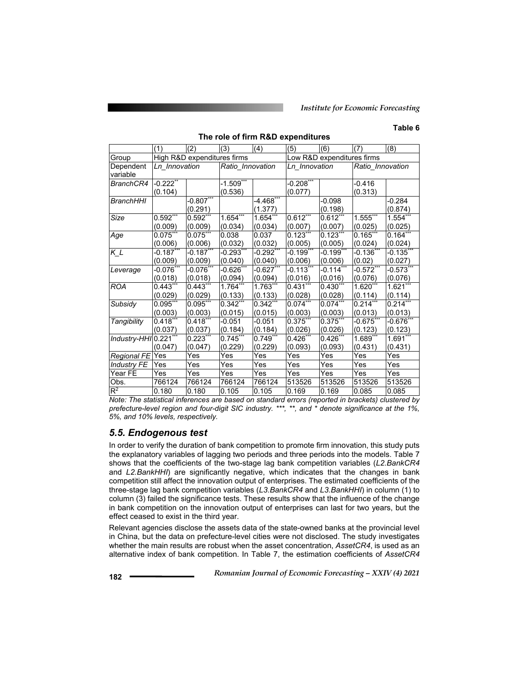#### **Table 6**

**The role of firm R&D expenditures**   $|(1)$   $|(2)$   $|(3)$   $|(4)$   $|(5)$   $|(6)$   $|(7)$   $|(8)$ Group High R&D expenditures firms Low R&D expenditures firms Dependent variable *Ln\_Innovation Ratio\_Innovation Ln\_Innovation Ratio\_Innovation BranchCR4* -0.222\*\* (0.104)  $-1.509"$ (0.536) -0.208\* (0.077) -0.416 (0.313) **BranchHHI -0.807** (0.291)  $-4.468$ (1.377)  $-0.098$ (0.198) -0.284 (0.874) *Size* 0.592\*\*\* (0.009) 0.592\* (0.009) 1.654\* (0.034) 1.654\* (0.034) 0.612 $^{\circ}$ (0.007)  $0.612*$ (0.007) 1.555\*\*\* (0.025) 1.554\* (0.025) Age 0.075<sup>\*</sup> (0.006) 0.075 (0.006) 0.038 (0.032) 0.037 (0.032) 0.123 (0.005) 0.123 (0.005) 0.165 (0.024) 0.164 (0.024) *K\_L*  $\left[-0.187\right]$ (0.009)  $-0.187$ (0.009)  $-0.293$  $(0.040)$  $-0.292$ (0.040) -0.199 $^{\circ}$ (0.006)  $-0.199"$ (0.006)  $-0.136"$ (0.02) -0.135 $^{\circ}$ (0.027) *Leverage* -0.076\*\*\* (0.018)  $-0.076"$ (0.018)  $-0.626"$ (0.094)  $-0.627$ (0.094)  $-0.113"$ (0.016)  $-0.114*$ (0.016)  $-0.572"$ (0.076)  $-0.573"$ (0.076) *ROA* 0.443\*\*\* (0.029) 0.443 (0.029) 1.764 (0.133) 1.763 (0.133)  $0.431"$ (0.028)  $0.430*$ (0.028) 1.620 (0.114) 1.621\*\*\* (0.114) *Subsidy* 0.095\*\*\* (0.003)  $0.095*$ (0.003)  $0.342*$ (0.015) 0.342\* (0.015)  $0.074**$ (0.003) 0.074\* (0.003)  $0.214*$ (0.013)  $0.214$ \*\* (0.013) *Tangibility* 0.418\*\*\*  $(0.037)$ <br> $0.221$ \*\* 0.418 (0.037) -0.051 (0.184) -0.051 (0.184) 0.375\* (0.026) 0.375\* (0.026) -0.675\* (0.123)  $-0.676^*$ (0.123) *Industry-HHI* 0.221\*\*\* (0.047)  $0.223$ (0.047)  $0.745$ \* (0.229)  $0.749*$ (0.229)  $0.426$ (0.093)  $0.426*$ (0.093) 1.689 (0.431) 1.691 (0.431) *Regional FE* Yes Yes Yes Yes Yes Yes Yes Yes *Industry FE* Yes Yes Yes Yes Yes Yes Yes Yes Year FE Yes Yes Yes Yes Yes Yes Yes Yes Obs. 766124 766124 766124 766124 513526 513526 513526 513526 R2 0.180 0.180 0.105 0.105 0.169 0.169 0.085 0.085

*Note: The statistical inferences are based on standard errors (reported in brackets) clustered by prefecture-level region and four-digit SIC industry. \*\*\*, \*\*, and \* denote significance at the 1%, 5%, and 10% levels, respectively.* 

### *5.5. Endogenous test*

In order to verify the duration of bank competition to promote firm innovation, this study puts the explanatory variables of lagging two periods and three periods into the models. Table 7 shows that the coefficients of the two-stage lag bank competition variables (*L2.BankCR4* and *L2.BankHHI*) are significantly negative, which indicates that the changes in bank competition still affect the innovation output of enterprises. The estimated coefficients of the three-stage lag bank competition variables (*L3.BankCR4* and *L3.BankHHI*) in column (1) to column (3) failed the significance tests. These results show that the influence of the change in bank competition on the innovation output of enterprises can last for two years, but the effect ceased to exist in the third year.

Relevant agencies disclose the assets data of the state-owned banks at the provincial level in China, but the data on prefecture-level cities were not disclosed. The study investigates whether the main results are robust when the asset concentration, *AssetCR4*, is used as an alternative index of bank competition. In Table 7, the estimation coefficients of *AssetCR4*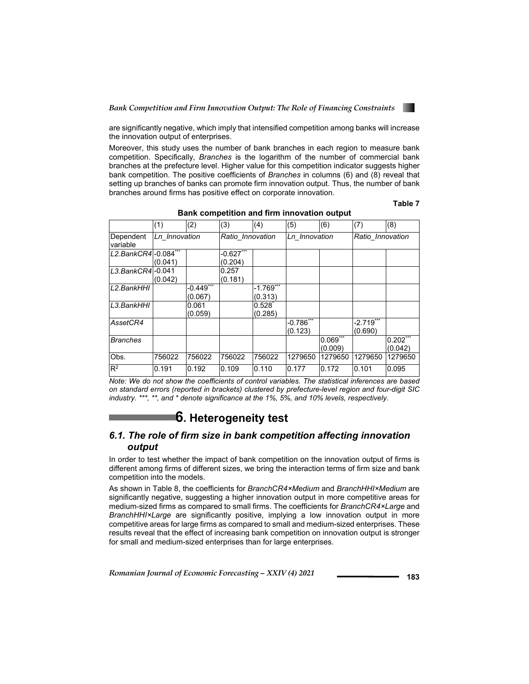

are significantly negative, which imply that intensified competition among banks will increase the innovation output of enterprises.

Moreover, this study uses the number of bank branches in each region to measure bank competition. Specifically, *Branches* is the logarithm of the number of commercial bank branches at the prefecture level. Higher value for this competition indicator suggests higher bank competition. The positive coefficients of *Branches* in columns (6) and (8) reveal that setting up branches of banks can promote firm innovation output. Thus, the number of bank branches around firms has positive effect on corporate innovation.

### **Table 7**

|                       | (1)           | (2)         | (3)              | (4)         | (5)           | (6)     | (7)              | (8)        |
|-----------------------|---------------|-------------|------------------|-------------|---------------|---------|------------------|------------|
| Dependent             | Ln Innovation |             | Ratio Innovation |             | Ln Innovation |         | Ratio Innovation |            |
| variable              |               |             |                  |             |               |         |                  |            |
| L2.BankCR4 - 0.084*** |               |             | $-0.627***$      |             |               |         |                  |            |
|                       | (0.041)       |             | (0.204)          |             |               |         |                  |            |
| $L3.BankCR4-0.041$    |               |             | 0.257            |             |               |         |                  |            |
|                       | (0.042)       |             | (0.181)          |             |               |         |                  |            |
| L2.BankHHI            |               | $-0.449***$ |                  | $-1.769***$ |               |         |                  |            |
|                       |               | (0.067)     |                  | (0.313)     |               |         |                  |            |
| L3.BankHHI            |               | 0.061       |                  | $0.528^{*}$ |               |         |                  |            |
|                       |               | (0.059)     |                  | (0.285)     |               |         |                  |            |
| AssetCR4              |               |             |                  |             | $-0.786***$   |         | $-2.719***$      |            |
|                       |               |             |                  |             | (0.123)       |         | (0.690)          |            |
| <b>Branches</b>       |               |             |                  |             |               | 0.069   |                  | $0.202***$ |
|                       |               |             |                  |             |               | (0.009) |                  | (0.042)    |
| Obs.                  | 756022        | 756022      | 756022           | 756022      | 1279650       | 1279650 | 1279650          | 1279650    |
| $R^2$                 | 0.191         | 0.192       | 0.109            | 0.110       | 0.177         | 0.172   | 0.101            | 0.095      |

#### **Bank competition and firm innovation output**

*Note: We do not show the coefficients of control variables. The statistical inferences are based on standard errors (reported in brackets) clustered by prefecture-level region and four-digit SIC industry. \*\*\*, \*\*, and \* denote significance at the 1%, 5%, and 10% levels, respectively.* 

## **6. Heterogeneity test**

### *6.1. The role of firm size in bank competition affecting innovation output*

In order to test whether the impact of bank competition on the innovation output of firms is different among firms of different sizes, we bring the interaction terms of firm size and bank competition into the models.

As shown in Table 8, the coefficients for *BranchCR4×Medium* and *BranchHHI×Medium* are significantly negative, suggesting a higher innovation output in more competitive areas for medium-sized firms as compared to small firms. The coefficients for *BranchCR4×Large* and *BranchHHI×Large* are significantly positive, implying a low innovation output in more competitive areas for large firms as compared to small and medium-sized enterprises. These results reveal that the effect of increasing bank competition on innovation output is stronger for small and medium-sized enterprises than for large enterprises.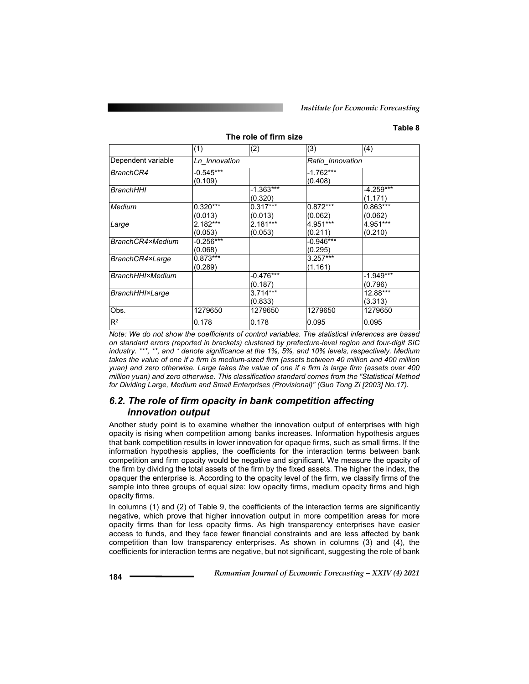#### **Table 8**

#### **The role of firm size**

|                          | (1)                    | (2)                    | (3)                    | (4)                    |  |
|--------------------------|------------------------|------------------------|------------------------|------------------------|--|
| Dependent variable       | Ln Innovation          |                        | Ratio Innovation       |                        |  |
| BranchCR4                | $-0.545***$<br>(0.109) |                        | $-1.762***$<br>(0.408) |                        |  |
| <b>BranchHHI</b>         |                        | $-1.363***$<br>(0.320) |                        | $-4.259***$<br>(1.171) |  |
| Medium                   | $0.320***$<br>(0.013)  | $0.317***$<br>(0.013)  | $0.872***$<br>(0.062)  | $0.863***$<br>(0.062)  |  |
| Large                    | $2.182***$<br>(0.053)  | $2.181***$<br>(0.053)  | $4.951***$<br>(0.211)  | 4.951***<br>(0.210)    |  |
| BranchCR4×Medium         | $-0.256***$<br>(0.068) |                        | $-0.946***$<br>(0.295) |                        |  |
| BranchCR4×Large          | $0.873***$<br>(0.289)  |                        | $3.257***$<br>(1.161)  |                        |  |
| <b>BranchHHI</b> ×Medium |                        | $-0.476***$<br>(0.187) |                        | $-1.949***$<br>(0.796) |  |
| <b>BranchHHI×Large</b>   |                        | $3.714***$<br>(0.833)  |                        | 12.88***<br>(3.313)    |  |
| Obs.                     | 1279650                | 1279650                | 1279650                | 1279650                |  |
| $R^2$                    | 0.178                  | 0.178                  | 0.095                  | 0.095                  |  |

*Note: We do not show the coefficients of control variables. The statistical inferences are based on standard errors (reported in brackets) clustered by prefecture-level region and four-digit SIC industry. \*\*\*, \*\*, and \* denote significance at the 1%, 5%, and 10% levels, respectively. Medium*  takes the value of one if a firm is medium-sized firm (assets between 40 million and 400 million *yuan) and zero otherwise. Large takes the value of one if a firm is large firm (assets over 400 million yuan) and zero otherwise. This classification standard comes from the "Statistical Method for Dividing Large, Medium and Small Enterprises (Provisional)" (Guo Tong Zi [2003] No.17).* 

### *6.2. The role of firm opacity in bank competition affecting innovation output*

Another study point is to examine whether the innovation output of enterprises with high opacity is rising when competition among banks increases. Information hypothesis argues that bank competition results in lower innovation for opaque firms, such as small firms. If the information hypothesis applies, the coefficients for the interaction terms between bank competition and firm opacity would be negative and significant. We measure the opacity of the firm by dividing the total assets of the firm by the fixed assets. The higher the index, the opaquer the enterprise is. According to the opacity level of the firm, we classify firms of the sample into three groups of equal size: low opacity firms, medium opacity firms and high opacity firms.

In columns (1) and (2) of Table 9, the coefficients of the interaction terms are significantly negative, which prove that higher innovation output in more competition areas for more opacity firms than for less opacity firms. As high transparency enterprises have easier access to funds, and they face fewer financial constraints and are less affected by bank competition than low transparency enterprises. As shown in columns (3) and (4), the coefficients for interaction terms are negative, but not significant, suggesting the role of bank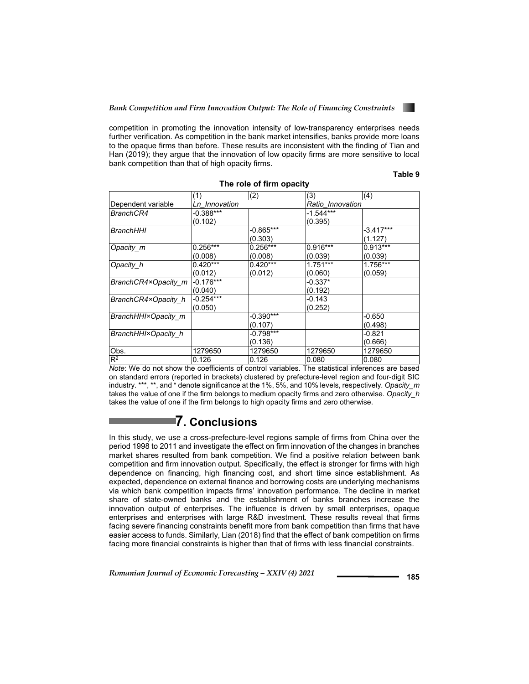

competition in promoting the innovation intensity of low-transparency enterprises needs further verification. As competition in the bank market intensifies, banks provide more loans to the opaque firms than before. These results are inconsistent with the finding of Tian and Han (2019); they argue that the innovation of low opacity firms are more sensitive to local bank competition than that of high opacity firms.

**Table 9** 

|                                                                     | (1)                           | (2)                              | (3)              | (4)         |
|---------------------------------------------------------------------|-------------------------------|----------------------------------|------------------|-------------|
| Dependent variable                                                  | Ln Innovation                 |                                  | Ratio Innovation |             |
| BranchCR4                                                           | $-0.388***$                   |                                  | $-1.544***$      |             |
|                                                                     | (0.102)                       |                                  | (0.395)          |             |
| <b>BranchHHI</b>                                                    |                               | $-0.865***$                      |                  | $-3.417***$ |
|                                                                     |                               | (0.303)                          |                  | (1.127)     |
| Opacity m                                                           | $0.256***$                    | $0.256***$                       | $0.916***$       | $0.913***$  |
|                                                                     | (0.008)                       | (0.008)                          | (0.039)          | (0.039)     |
| Opacity h                                                           | $0.420***$                    | $0.420***$                       | $1.751***$       | 1.756***    |
|                                                                     | (0.012)                       | (0.012)                          | (0.060)          | (0.059)     |
| BranchCR4×Opacity m                                                 | $-0.176***$                   |                                  | $-0.337*$        |             |
|                                                                     | (0.040)                       |                                  | (0.192)          |             |
| BranchCR4×Opacity_h                                                 | $-0.254***$                   |                                  | $-0.143$         |             |
|                                                                     | (0.050)                       |                                  | (0.252)          |             |
| BranchHHI×Opacity m                                                 |                               | $-0.390***$                      |                  | $-0.650$    |
|                                                                     |                               | (0.107)                          |                  | (0.498)     |
| BranchHHI×Opacity h                                                 |                               | -0.798***                        |                  | -0.821      |
|                                                                     |                               | (0.136)                          |                  | (0.666)     |
| Obs.                                                                | 1279650                       | 1279650                          | 1279650          | 1279650     |
| $R^2$<br>$\cdots$<br>$\mathbf{1} \mathbf{1} \mathbf{1}$<br>$\cdots$ | 0.126<br>$\sim$ $\sim$ $\sim$ | 0.126<br>$\cdot$ $\cdot$ $\cdot$ | 0.080<br>.       | 0.080       |

**The role of firm opacity** 

*Note*: We do not show the coefficients of control variables. The statistical inferences are based on standard errors (reported in brackets) clustered by prefecture-level region and four-digit SIC industry. \*\*\*, \*\*, and \* denote significance at the 1%, 5%, and 10% levels, respectively. *Opacity\_m* takes the value of one if the firm belongs to medium opacity firms and zero otherwise. *Opacity\_h* takes the value of one if the firm belongs to high opacity firms and zero otherwise.

## **7. Conclusions**

In this study, we use a cross-prefecture-level regions sample of firms from China over the period 1998 to 2011 and investigate the effect on firm innovation of the changes in branches market shares resulted from bank competition. We find a positive relation between bank competition and firm innovation output. Specifically, the effect is stronger for firms with high dependence on financing, high financing cost, and short time since establishment. As expected, dependence on external finance and borrowing costs are underlying mechanisms via which bank competition impacts firms' innovation performance. The decline in market share of state-owned banks and the establishment of banks branches increase the innovation output of enterprises. The influence is driven by small enterprises, opaque enterprises and enterprises with large R&D investment. These results reveal that firms facing severe financing constraints benefit more from bank competition than firms that have easier access to funds. Similarly, Lian (2018) find that the effect of bank competition on firms facing more financial constraints is higher than that of firms with less financial constraints.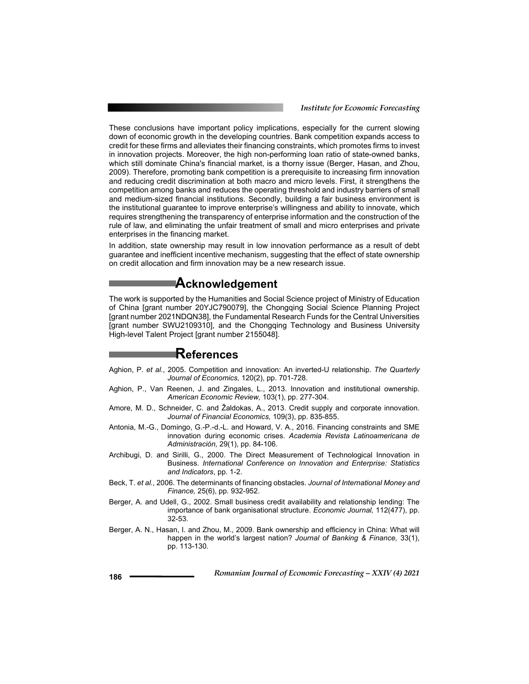*Institute for Economic Forecasting*

These conclusions have important policy implications, especially for the current slowing down of economic growth in the developing countries. Bank competition expands access to credit for these firms and alleviates their financing constraints, which promotes firms to invest in innovation projects. Moreover, the high non-performing loan ratio of state-owned banks, which still dominate China's financial market, is a thorny issue (Berger, Hasan, and Zhou, 2009). Therefore, promoting bank competition is a prerequisite to increasing firm innovation and reducing credit discrimination at both macro and micro levels. First, it strengthens the competition among banks and reduces the operating threshold and industry barriers of small and medium-sized financial institutions. Secondly, building a fair business environment is the institutional guarantee to improve enterprise's willingness and ability to innovate, which requires strengthening the transparency of enterprise information and the construction of the rule of law, and eliminating the unfair treatment of small and micro enterprises and private enterprises in the financing market.

In addition, state ownership may result in low innovation performance as a result of debt guarantee and inefficient incentive mechanism, suggesting that the effect of state ownership on credit allocation and firm innovation may be a new research issue.

## **Acknowledgement**

The work is supported by the Humanities and Social Science project of Ministry of Education of China [grant number 20YJC790079], the Chongqing Social Science Planning Project [grant number 2021NDQN38], the Fundamental Research Funds for the Central Universities [grant number SWU2109310], and the Chongqing Technology and Business University High-level Talent Project [grant number 2155048].

## **References**

- Aghion, P. *et al.*, 2005. Competition and innovation: An inverted-U relationship. *The Quarterly Journal of Economics,* 120(2), pp. 701-728.
- Aghion, P., Van Reenen, J. and Zingales, L., 2013. Innovation and institutional ownership. *American Economic Review,* 103(1), pp. 277-304.
- Amore, M. D., Schneider, C. and Žaldokas, A., 2013. Credit supply and corporate innovation. *Journal of Financial Economics,* 109(3), pp. 835-855.
- Antonia, M.-G., Domingo, G.-P.-d.-L. and Howard, V. A., 2016. Financing constraints and SME innovation during economic crises. *Academia Revista Latinoamericana de Administración,* 29(1), pp. 84-106.
- Archibugi, D. and Sirilli, G., 2000. The Direct Measurement of Technological Innovation in Business. *International Conference on Innovation and Enterprise: Statistics and Indicators*, pp. 1-2.
- Beck, T. *et al.*, 2006. The determinants of financing obstacles. *Journal of International Money and Finance,* 25(6), pp. 932-952.
- Berger, A. and Udell, G., 2002. Small business credit availability and relationship lending: The importance of bank organisational structure. *Economic Journal,* 112(477), pp. 32-53.
- Berger, A. N., Hasan, I. and Zhou, M., 2009. Bank ownership and efficiency in China: What will happen in the world's largest nation? *Journal of Banking & Finance,* 33(1), pp. 113-130.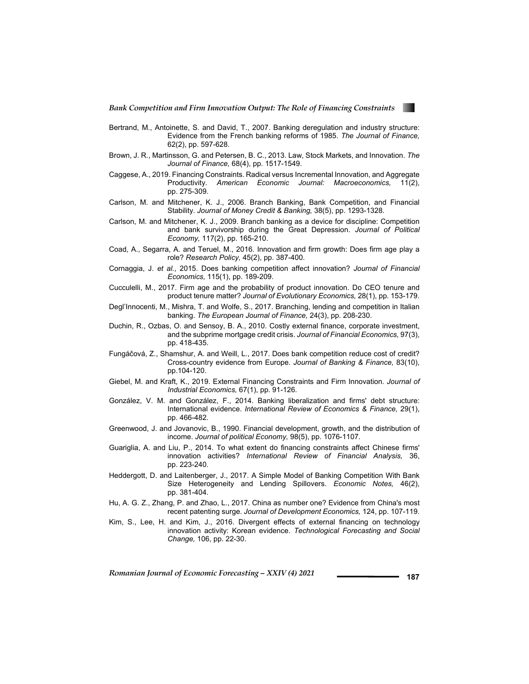

- Bertrand, M., Antoinette, S. and David, T., 2007. Banking deregulation and industry structure: Evidence from the French banking reforms of 1985. *The Journal of Finance,* 62(2), pp. 597-628.
- Brown, J. R., Martinsson, G. and Petersen, B. C., 2013. Law, Stock Markets, and Innovation. *The Journal of Finance,* 68(4), pp. 1517-1549.
- Caggese, A., 2019. Financing Constraints. Radical versus Incremental Innovation, and Aggregate Productivity. *American Economic Journal: Macroeconomics,* 11(2), pp. 275-309.
- Carlson, M. and Mitchener, K. J., 2006. Branch Banking, Bank Competition, and Financial Stability. *Journal of Money Credit & Banking,* 38(5), pp. 1293-1328.
- Carlson, M. and Mitchener, K. J., 2009. Branch banking as a device for discipline: Competition and bank survivorship during the Great Depression. *Journal of Political Economy,* 117(2), pp. 165-210.
- Coad, A., Segarra, A. and Teruel, M., 2016. Innovation and firm growth: Does firm age play a role? *Research Policy,* 45(2), pp. 387-400.
- Cornaggia, J. *et al.*, 2015. Does banking competition affect innovation? *Journal of Financial Economics,* 115(1), pp. 189-209.
- Cucculelli, M., 2017. Firm age and the probability of product innovation. Do CEO tenure and product tenure matter? *Journal of Evolutionary Economics,* 28(1), pp. 153-179.
- Degl'Innocenti, M., Mishra, T. and Wolfe, S., 2017. Branching, lending and competition in Italian banking. *The European Journal of Finance,* 24(3), pp. 208-230.
- Duchin, R., Ozbas, O. and Sensoy, B. A., 2010. Costly external finance, corporate investment, and the subprime mortgage credit crisis. *Journal of Financial Economics,* 97(3), pp. 418-435.
- Fungáčová, Z., Shamshur, A. and Weill, L., 2017. Does bank competition reduce cost of credit? Cross-country evidence from Europe. *Journal of Banking & Finance,* 83(10), pp.104-120.
- Giebel, M. and Kraft, K., 2019. External Financing Constraints and Firm Innovation. *Journal of Industrial Economics,* 67(1), pp. 91-126.
- González, V. M. and González, F., 2014. Banking liberalization and firms' debt structure: International evidence. *International Review of Economics & Finance,* 29(1), pp. 466-482.
- Greenwood, J. and Jovanovic, B., 1990. Financial development, growth, and the distribution of income. *Journal of political Economy,* 98(5), pp. 1076-1107.
- Guariglia, A. and Liu, P., 2014. To what extent do financing constraints affect Chinese firms' innovation activities? *International Review of Financial Analysis,* 36, pp. 223-240.
- Heddergott, D. and Laitenberger, J., 2017. A Simple Model of Banking Competition With Bank Size Heterogeneity and Lending Spillovers. *Economic Notes,* 46(2), pp. 381-404.
- Hu, A. G. Z., Zhang, P. and Zhao, L., 2017. China as number one? Evidence from China's most recent patenting surge. *Journal of Development Economics,* 124, pp. 107-119.
- Kim, S., Lee, H. and Kim, J., 2016. Divergent effects of external financing on technology innovation activity: Korean evidence. *Technological Forecasting and Social Change,* 106, pp. 22-30.